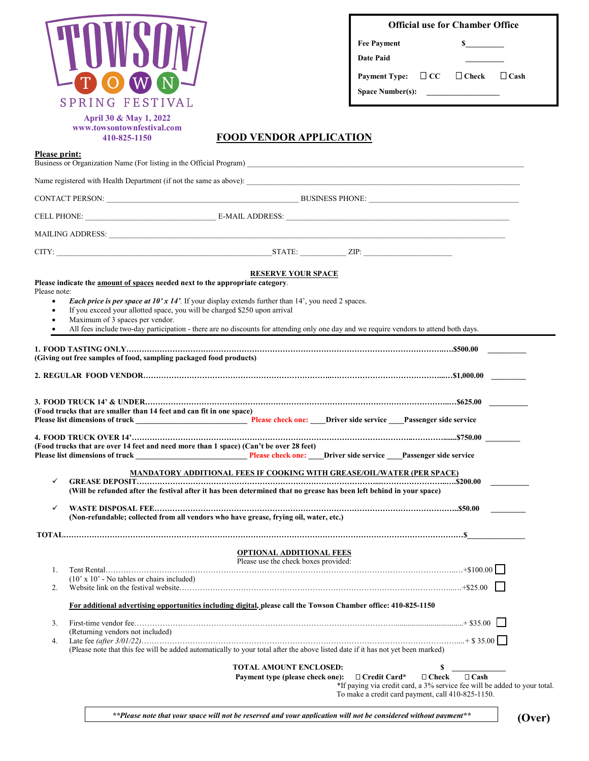|    | į,<br>$\blacksquare$       |
|----|----------------------------|
| O) | $\left[ \mathrm{W}\right]$ |
|    | SPRING FESTIVAL            |

| <b>Official use for Chamber Office</b> |  |
|----------------------------------------|--|
|----------------------------------------|--|

| <b>Fee Payment</b> |  |
|--------------------|--|
| <b>Date Paid</b>   |  |

**Payment Type:**  $□$  **CC**  $□$  **Check**  $□$  **Cash** 

Space Number(s):

**April 30 & May 1, 2022 www.towsontownfestival.com 410-825-1150**

#### **FOOD VENDOR APPLICATION**

| <b>Please print:</b> | Business or Organization Name (For listing in the Official Program)                                                                                                                                                                                                                                                                                                                |
|----------------------|------------------------------------------------------------------------------------------------------------------------------------------------------------------------------------------------------------------------------------------------------------------------------------------------------------------------------------------------------------------------------------|
|                      |                                                                                                                                                                                                                                                                                                                                                                                    |
|                      |                                                                                                                                                                                                                                                                                                                                                                                    |
|                      |                                                                                                                                                                                                                                                                                                                                                                                    |
|                      |                                                                                                                                                                                                                                                                                                                                                                                    |
|                      |                                                                                                                                                                                                                                                                                                                                                                                    |
| Please note:         | <b>RESERVE YOUR SPACE</b><br>Please indicate the amount of spaces needed next to the appropriate category.                                                                                                                                                                                                                                                                         |
| $\bullet$            | <i>Each price is per space at <math>10'x 14'</math>.</i> If your display extends further than $14'$ , you need 2 spaces.<br>If you exceed your allotted space, you will be charged \$250 upon arrival<br>Maximum of 3 spaces per vendor.<br>All fees include two-day participation - there are no discounts for attending only one day and we require vendors to attend both days. |
|                      | (Giving out free samples of food, sampling packaged food products)                                                                                                                                                                                                                                                                                                                 |
|                      |                                                                                                                                                                                                                                                                                                                                                                                    |
|                      | (Food trucks that are smaller than 14 feet and can fit in one space)                                                                                                                                                                                                                                                                                                               |
|                      | (Food trucks that are over 14 feet and need more than 1 space) (Can't be over 28 feet)                                                                                                                                                                                                                                                                                             |
| ✓                    | <b>MANDATORY ADDITIONAL FEES IF COOKING WITH GREASE/OIL/WATER (PER SPACE)</b><br>(Will be refunded after the festival after it has been determined that no grease has been left behind in your space)                                                                                                                                                                              |
| ✓                    | (Non-refundable; collected from all vendors who have grease, frying oil, water, etc.)                                                                                                                                                                                                                                                                                              |
|                      |                                                                                                                                                                                                                                                                                                                                                                                    |
| 1.<br>2.             | <b>OPTIONAL ADDITIONAL FEES</b><br>Please use the check boxes provided:<br>$(10' \times 10'$ - No tables or chairs included)                                                                                                                                                                                                                                                       |
|                      | For additional advertising opportunities including digital, please call the Towson Chamber office: 410-825-1150                                                                                                                                                                                                                                                                    |
| 3.<br>4.             | (Returning vendors not included)<br>(Please note that this fee will be added automatically to your total after the above listed date if it has not yet been marked)                                                                                                                                                                                                                |
|                      | \$<br><b>TOTAL AMOUNT ENCLOSED:</b><br>□ Credit Card*<br>$\Box$ Check<br>$\Box$ Cash<br>Payment type (please check one):<br>*If paying via credit card, a 3% service fee will be added to your total.<br>To make a credit card payment, call 410-825-1150.                                                                                                                         |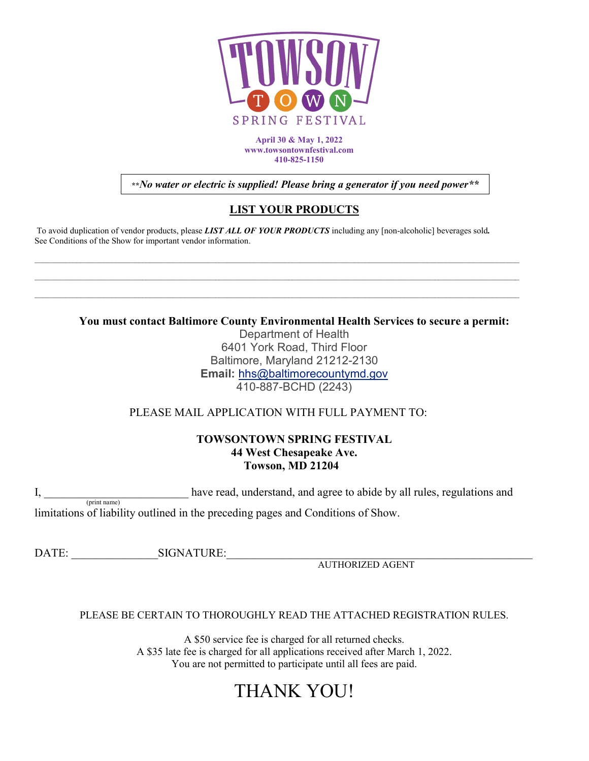

**April 30 & May 1, 2022 www.towsontownfestival.com 410-825-1150**

**\*\****No water or electric is supplied! Please bring a generator if you need power\*\**

## **LIST YOUR PRODUCTS**

To avoid duplication of vendor products, please *LIST ALL OF YOUR PRODUCTS* including any [non-alcoholic] beverages sold*.* See Conditions of the Show for important vendor information.

\_\_\_\_\_\_\_\_\_\_\_\_\_\_\_\_\_\_\_\_\_\_\_\_\_\_\_\_\_\_\_\_\_\_\_\_\_\_\_\_\_\_\_\_\_\_\_\_\_\_\_\_\_\_\_\_\_\_\_\_\_\_\_\_\_\_\_\_\_\_\_\_\_\_\_\_\_\_\_\_\_\_\_\_\_\_\_\_\_\_\_\_\_\_\_\_\_\_\_\_\_\_\_\_\_\_\_\_\_\_\_\_\_\_\_\_\_\_\_\_\_\_\_\_\_\_

**You must contact Baltimore County Environmental Health Services to secure a permit:**

Department of Health 6401 York Road, Third Floor Baltimore, Maryland 21212-2130 **Email:** [hhs@baltimorecountymd.gov](mailto:hhs@baltimorecountymd.gov?subject=Web%20Inquiry) 410-887-BCHD (2243)

PLEASE MAIL APPLICATION WITH FULL PAYMENT TO:

#### **TOWSONTOWN SPRING FESTIVAL 44 West Chesapeake Ave. Towson, MD 21204**

I, \_\_\_\_\_\_\_\_\_\_\_\_\_\_\_\_\_\_\_\_\_\_\_\_\_\_\_\_ have read, understand, and agree to abide by all rules, regulations and limitations of liability outlined in the preceding pages and Conditions of Show.

DATE: SIGNATURE:

AUTHORIZED AGENT

## PLEASE BE CERTAIN TO THOROUGHLY READ THE ATTACHED REGISTRATION RULES.

A \$50 service fee is charged for all returned checks. A \$35 late fee is charged for all applications received after March 1, 2022. You are not permitted to participate until all fees are paid.

# THANK YOU!